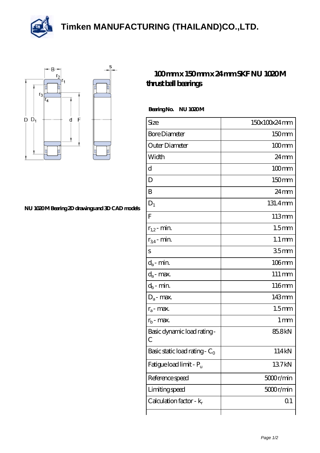**[Timken MANUFACTURING \(THAILAND\)CO.,LTD.](https://m.thereclaimer.net)**





## **[NU 1020 M Bearing 2D drawings and 3D CAD models](https://m.thereclaimer.net/pic-65136351.html)**

## **[100 mm x 150 mm x 24 mm SKF NU 1020 M](https://m.thereclaimer.net/skf-nu-1020-m-bearing/) [thrust ball bearings](https://m.thereclaimer.net/skf-nu-1020-m-bearing/)**

Bearing No. NU 1020M

| Size                                      | 150x100x24mm        |
|-------------------------------------------|---------------------|
| <b>Bore Diameter</b>                      | 150mm               |
| Outer Diameter                            | $100 \text{mm}$     |
| Width                                     | $24 \,\mathrm{mm}$  |
| d                                         | $100$ mm            |
| D                                         | 150mm               |
| B                                         | $24 \,\mathrm{mm}$  |
| $D_1$                                     | 131.4mm             |
| F                                         | 113mm               |
| $r_{1,2}$ - min.                          | 1.5 <sub>mm</sub>   |
| $r_{34}$ - min.                           | $1.1 \,\mathrm{mm}$ |
| S                                         | 35mm                |
| $d_a$ - min.                              | $106$ mm            |
| $d_a$ - max.                              | $111 \,\mathrm{mm}$ |
| $d_b$ - min.                              | 116mm               |
| $D_a$ - max.                              | 143mm               |
| $r_a$ - max.                              | 1.5 <sub>mm</sub>   |
| $r_{b}$ - max.                            | 1 <sub>mm</sub>     |
| Basic dynamic load rating-<br>С           | 85.8kN              |
| Basic static load rating - C <sub>0</sub> | 114kN               |
| Fatigue load limit - P <sub>u</sub>       | 137kN               |
| Reference speed                           | $5000$ r/min        |
| Limiting speed                            | 5000r/min           |
| Calculation factor - $k_r$                | 01                  |
|                                           |                     |